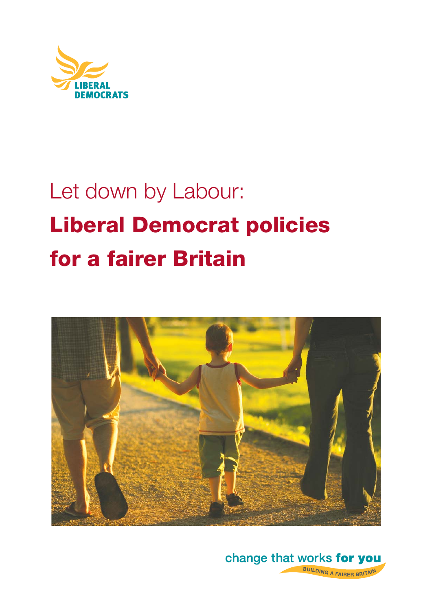

# Let down by Labour: **Liberal Democrat policies for a fairer Britain**



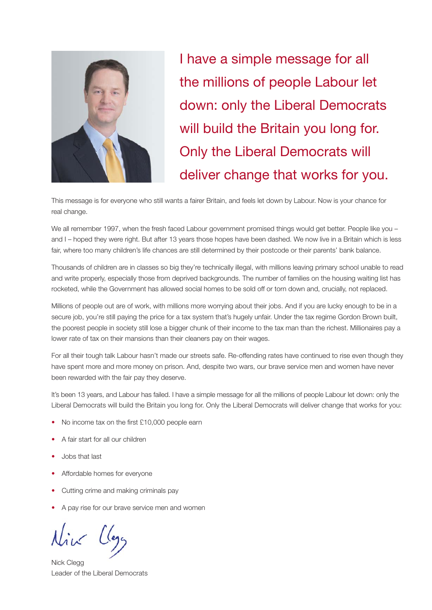

I have a simple message for all the millions of people Labour let down: only the Liberal Democrats will build the Britain you long for. Only the Liberal Democrats will deliver change that works for you.

This message is for everyone who still wants a fairer Britain, and feels let down by Labour. Now is your chance for real change.

We all remember 1997, when the fresh faced Labour government promised things would get better. People like you – and I – hoped they were right. But after 13 years those hopes have been dashed. We now live in a Britain which is less fair, where too many children's life chances are still determined by their postcode or their parents' bank balance.

Thousands of children are in classes so big they're technically illegal, with millions leaving primary school unable to read and write properly, especially those from deprived backgrounds. The number of families on the housing waiting list has rocketed, while the Government has allowed social homes to be sold off or torn down and, crucially, not replaced.

Millions of people out are of work, with millions more worrying about their jobs. And if you are lucky enough to be in a secure job, you're still paying the price for a tax system that's hugely unfair. Under the tax regime Gordon Brown built, the poorest people in society still lose a bigger chunk of their income to the tax man than the richest. Millionaires pay a lower rate of tax on their mansions than their cleaners pay on their wages.

For all their tough talk Labour hasn't made our streets safe. Re-offending rates have continued to rise even though they have spent more and more money on prison. And, despite two wars, our brave service men and women have never been rewarded with the fair pay they deserve.

It's been 13 years, and Labour has failed. I have a simple message for all the millions of people Labour let down: only the Liberal Democrats will build the Britain you long for. Only the Liberal Democrats will deliver change that works for you:

- No income tax on the first £10,000 people earn
- A fair start for all our children
- Jobs that last
- Affordable homes for everyone
- Cutting crime and making criminals pay
- A pay rise for our brave service men and women

Nick Clegg Leader of the Liberal Democrats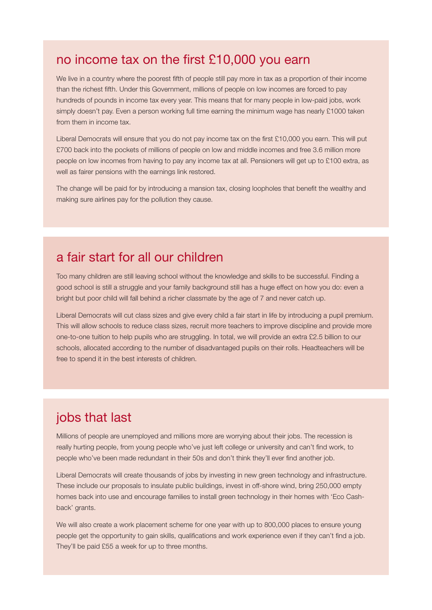#### no income tax on the first £10,000 you earn

We live in a country where the poorest fifth of people still pay more in tax as a proportion of their income than the richest fifth. Under this Government, millions of people on low incomes are forced to pay hundreds of pounds in income tax every year. This means that for many people in low-paid jobs, work simply doesn't pay. Even a person working full time earning the minimum wage has nearly £1000 taken from them in income tax.

Liberal Democrats will ensure that you do not pay income tax on the first £10,000 you earn. This will put £700 back into the pockets of millions of people on low and middle incomes and free 3.6 million more people on low incomes from having to pay any income tax at all. Pensioners will get up to £100 extra, as well as fairer pensions with the earnings link restored.

The change will be paid for by introducing a mansion tax, closing loopholes that benefit the wealthy and making sure airlines pay for the pollution they cause.

## a fair start for all our children

Too many children are still leaving school without the knowledge and skills to be successful. Finding a good school is still a struggle and your family background still has a huge effect on how you do: even a bright but poor child will fall behind a richer classmate by the age of 7 and never catch up.

Liberal Democrats will cut class sizes and give every child a fair start in life by introducing a pupil premium. This will allow schools to reduce class sizes, recruit more teachers to improve discipline and provide more one-to-one tuition to help pupils who are struggling. In total, we will provide an extra £2.5 billion to our schools, allocated according to the number of disadvantaged pupils on their rolls. Headteachers will be free to spend it in the best interests of children.

# jobs that last

Millions of people are unemployed and millions more are worrying about their jobs. The recession is really hurting people, from young people who've just left college or university and can't find work, to people who've been made redundant in their 50s and don't think they'll ever find another job.

Liberal Democrats will create thousands of jobs by investing in new green technology and infrastructure. These include our proposals to insulate public buildings, invest in off-shore wind, bring 250,000 empty homes back into use and encourage families to install green technology in their homes with 'Eco Cashback' grants.

We will also create a work placement scheme for one year with up to 800,000 places to ensure young people get the opportunity to gain skills, qualifications and work experience even if they can't find a job. They'll be paid £55 a week for up to three months.